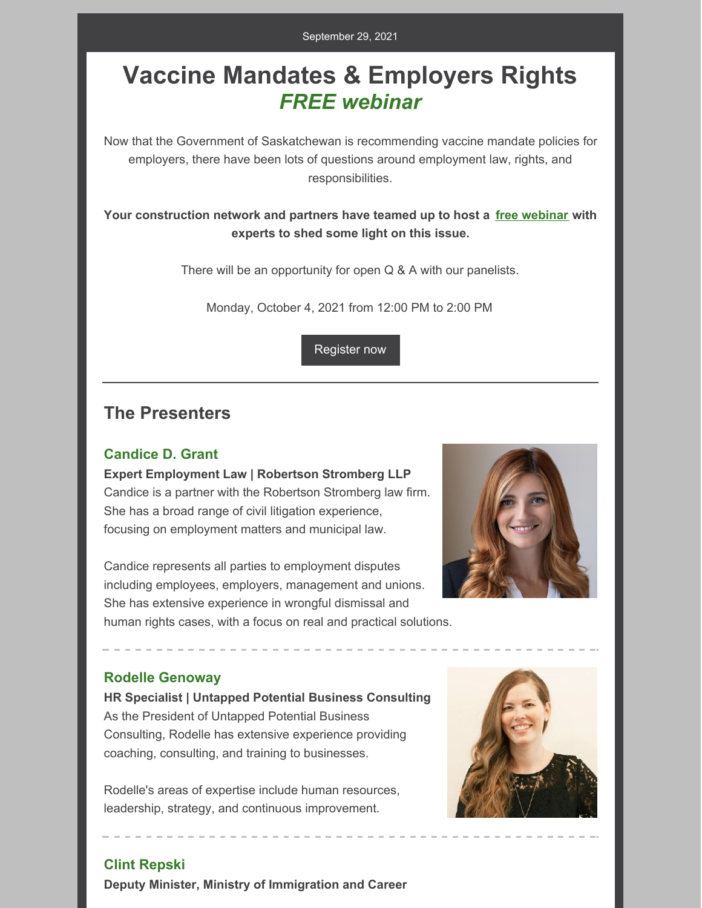# **Vaccine Mandates & Employers Rights** *FREE webinar*

Now that the Government of Saskatchewan is recommending vaccine mandate policies for employers, there have been lots of questions around employment law, rights, and responsibilities.

#### **Your construction network and partners have teamed up to host a free [webinar](https://us02web.zoom.us/webinar/register/WN_V8N8n4ZDTRunt4k-SJBNKw) with experts to shed some light on this issue.**

There will be an opportunity for open Q & A with our panelists.

Monday, October 4, 2021 from 12:00 PM to 2:00 PM

[Register](https://us02web.zoom.us/webinar/register/WN_V8N8n4ZDTRunt4k-SJBNKw) now

## **The Presenters**

#### **Candice D. Grant**

**Expert Employment Law | Robertson Stromberg LLP** Candice is a partner with the Robertson Stromberg law firm. She has a broad range of civil litigation experience, focusing on employment matters and municipal law.

Candice represents all parties to employment disputes including employees, employers, management and unions. She has extensive experience in wrongful dismissal and human rights cases, with a focus on real and practical solutions.



#### **Rodelle Genoway**

**HR Specialist | Untapped Potential Business Consulting** As the President of Untapped Potential Business Consulting, Rodelle has extensive experience providing coaching, consulting, and training to businesses.

Rodelle's areas of expertise include human resources, leadership, strategy, and continuous improvement.



#### **Clint Repski**

**Deputy Minister, Ministry of Immigration and Career**